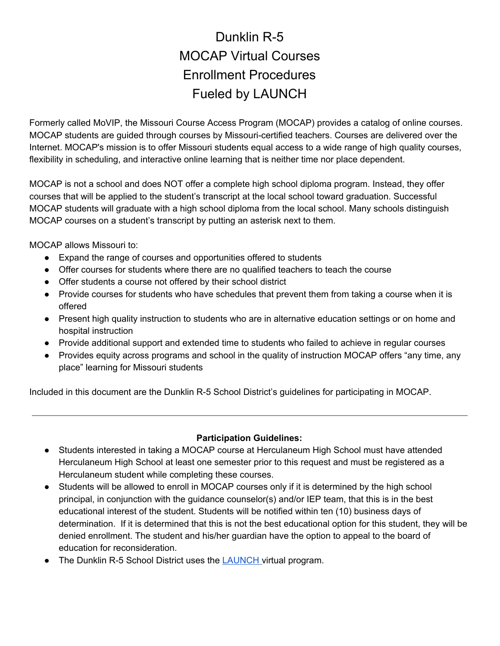## Dunklin R-5 MOCAP Virtual Courses Enrollment Procedures Fueled by LAUNCH

Formerly called MoVIP, the Missouri Course Access Program (MOCAP) provides a catalog of online courses. MOCAP students are guided through courses by Missouri-certified teachers. Courses are delivered over the Internet. MOCAP's mission is to offer Missouri students equal access to a wide range of high quality courses, flexibility in scheduling, and interactive online learning that is neither time nor place dependent.

MOCAP is not a school and does NOT offer a complete high school diploma program. Instead, they offer courses that will be applied to the student's transcript at the local school toward graduation. Successful MOCAP students will graduate with a high school diploma from the local school. Many schools distinguish MOCAP courses on a student's transcript by putting an asterisk next to them.

MOCAP allows Missouri to:

- Expand the range of courses and opportunities offered to students
- Offer courses for students where there are no qualified teachers to teach the course
- Offer students a course not offered by their school district
- Provide courses for students who have schedules that prevent them from taking a course when it is offered
- Present high quality instruction to students who are in alternative education settings or on home and hospital instruction
- Provide additional support and extended time to students who failed to achieve in regular courses
- Provides equity across programs and school in the quality of instruction MOCAP offers "any time, any place" learning for Missouri students

Included in this document are the Dunklin R-5 School District's guidelines for participating in MOCAP.

## **Participation Guidelines:**

- Students interested in taking a MOCAP course at Herculaneum High School must have attended Herculaneum High School at least one semester prior to this request and must be registered as a Herculaneum student while completing these courses.
- Students will be allowed to enroll in MOCAP courses only if it is determined by the high school principal, in conjunction with the guidance counselor(s) and/or IEP team, that this is in the best educational interest of the student. Students will be notified within ten (10) business days of determination. If it is determined that this is not the best educational option for this student, they will be denied enrollment. The student and his/her guardian have the option to appeal to the board of education for reconsideration.
- The Dunklin R-5 School District uses the **[LAUNCH](https://fueledbylaunch.com/)** virtual program.